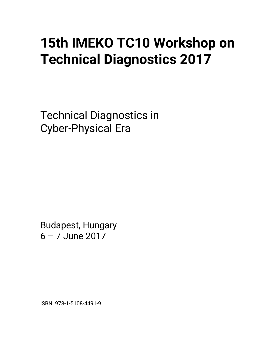## **15th IMEKO TC10 Workshop on Technical Diagnostics 2017**

Technical Diagnostics in Cyber-Physical Era

Budapest, Hungary 6 – 7 June 2017

ISBN: 978-1-5108-4491-9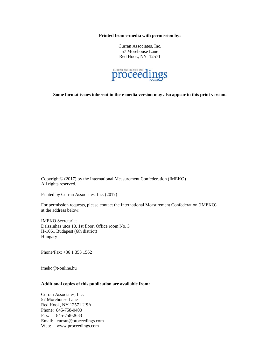**Printed from e-media with permission by:** 

Curran Associates, Inc. 57 Morehouse Lane Red Hook, NY 12571



**Some format issues inherent in the e-media version may also appear in this print version.** 

Copyright© (2017) by the International Measurement Confederation (IMEKO) All rights reserved.

Printed by Curran Associates, Inc. (2017)

For permission requests, please contact the International Measurement Confederation (IMEKO) at the address below.

IMEKO Secretariat Dalszinhaz utca 10, 1st floor, Office room No. 3 H-1061 Budapest (6th district) Hungary

Phone/Fax: +36 1 353 1562

imeko@t-online.hu

## **Additional copies of this publication are available from:**

Curran Associates, Inc. 57 Morehouse Lane Red Hook, NY 12571 USA Phone: 845-758-0400 Fax: 845-758-2633 Email: curran@proceedings.com Web: www.proceedings.com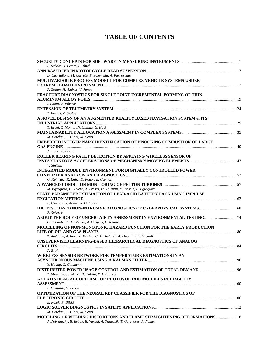## **TABLE OF CONTENTS**

| P. Scholz, D. Peters, F. Thiel                                                  |  |
|---------------------------------------------------------------------------------|--|
|                                                                                 |  |
| D. Capriglione, M. Carratu, P. Sommella, A. Pietrosanto                         |  |
| MULTIVARIABLE PROCESS MODELL FOR COMPLEX VEHICLE SYSTEMS UNDER                  |  |
|                                                                                 |  |
| R. Zoltan, H. Andras, V. Janos                                                  |  |
| <b>FRACTURE DIAGNOSTICS FOR SINGLE POINT INCREMENTAL FORMING OF THIN</b>        |  |
|                                                                                 |  |
| I. Paniti, Z. Viharos                                                           |  |
|                                                                                 |  |
| Z. Rozsas, Z. Szalay                                                            |  |
| A NOVEL DESIGN OF AN AUGMENTED REALITY BASED NAVIGATION SYSTEM & ITS            |  |
|                                                                                 |  |
| T. Erdei, Z. Molnar, N. Obinna, G. Husi                                         |  |
|                                                                                 |  |
| M. Catelani, L. Ciani, M. Venzi                                                 |  |
| <b>EMBEDDED INTEGER NARX IDENTIFICATION OF KNOCKING COMBUSTION OF LARGE</b>     |  |
|                                                                                 |  |
| J. Szabo, P. Bakucz                                                             |  |
| ROLLER BEARING FAULT DETECTION BY APPLYING WIRELESS SENSOR OF                   |  |
|                                                                                 |  |
| V. Sinitsin                                                                     |  |
| <b>INTEGRATED MODEL ENVIRONMENT FOR DIGITALLY CONTROLLED POWER</b>              |  |
|                                                                                 |  |
| G. Kohlrusz, K. Enisz, D. Fodor, B. Csomos                                      |  |
|                                                                                 |  |
| M. Egusquiza, C. Valero, A. Presas, D. Valentin, M. Bossio, E. Egusquiza        |  |
| STATE PARAMETER ESTIMATION OF LEAD-ACID BATTERY PACK USING IMPULSE              |  |
|                                                                                 |  |
| B. Csomos, G. Kohlrusz, D. Fodor                                                |  |
|                                                                                 |  |
|                                                                                 |  |
| <b>B.</b> Scherer                                                               |  |
| ABOUT THE ROLE OF UNCERTAINTY ASSESSMENT IN ENVIRONMENTAL TESTING 74            |  |
| G. D'Emilia, D. Gasbarro, A. Gaspari, E. Natale                                 |  |
| MODELLING OF NON-MONOTONIC HAZARD FUNCTION FOR THE EARLY PRODUCTION             |  |
|                                                                                 |  |
| T. Addabbo, A. Fort, R. Marino, C. Michelassi, M. Mugnaini, V. Vignoli          |  |
| UNSUPERVISED LEARNING-BASED HIERARCHICAL DIAGNOSTICS OF ANALOG                  |  |
|                                                                                 |  |
| P. Bilski                                                                       |  |
| WIRELESS SENSOR NETWORK FOR TEMPERATURE ESTIMATIONS IN AN                       |  |
|                                                                                 |  |
| Y. Huang, C. Guhmann                                                            |  |
|                                                                                 |  |
| T. Mizusawa, S. Miura, T. Taketa, Y. Hiranaka                                   |  |
| A STATISTICAL ALGORITHM FOR PHOTOVOLTAIC MODULES RELIABILITY                    |  |
|                                                                                 |  |
| L. Cristaldi, G. Leone                                                          |  |
| OPTIMIZATION OF THE NEURAL RBF CLASSIFIER FOR THE DIAGNOSTICS OF                |  |
|                                                                                 |  |
| B. Polok, P. Bilski                                                             |  |
|                                                                                 |  |
| M. Catelani, L. Ciani, M. Venzi                                                 |  |
| <b>MODELING OF WELDING DISTORTIONS AND FLAME STRAIGHTENING DEFORMATIONS 118</b> |  |
| J. Dobranszky, B. Bebok, B. Varbai, A. Szlancsik, T. Gerencser, A. Nemeth       |  |